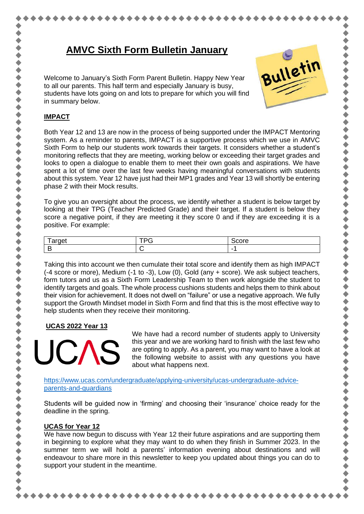# **AMVC Sixth Form Bulletin January**

Welcome to January's Sixth Form Parent Bulletin. Happy New Year to all our parents. This half term and especially January is busy, students have lots going on and lots to prepare for which you will find in summary below.



,,,,,,,,,,,,,,,,,,,,,,,,

#### **IMPACT**

Both Year 12 and 13 are now in the process of being supported under the IMPACT Mentoring system. As a reminder to parents, IMPACT is a supportive process which we use in AMVC Sixth Form to help our students work towards their targets. It considers whether a student's monitoring reflects that they are meeting, working below or exceeding their target grades and looks to open a dialogue to enable them to meet their own goals and aspirations. We have spent a lot of time over the last few weeks having meaningful conversations with students about this system. Year 12 have just had their MP1 grades and Year 13 will shortly be entering phase 2 with their Mock results.

To give you an oversight about the process, we identify whether a student is below target by looking at their TPG (Teacher Predicted Grade) and their target. If a student is below they score a negative point, if they are meeting it they score 0 and if they are exceeding it is a positive. For example:

| $-$<br>$\overline{\phantom{0}}$ | __ |  |
|---------------------------------|----|--|
|                                 |    |  |

Taking this into account we then cumulate their total score and identify them as high IMPACT (-4 score or more), Medium (-1 to -3), Low (0), Gold (any + score). We ask subject teachers, form tutors and us as a Sixth Form Leadership Team to then work alongside the student to identify targets and goals. The whole process cushions students and helps them to think about their vision for achievement. It does not dwell on "failure" or use a negative approach. We fully support the Growth Mindset model in Sixth Form and find that this is the most effective way to help students when they receive their monitoring.

#### **UCAS 2022 Year 13**



We have had a record number of students apply to University this year and we are working hard to finish with the last few who are opting to apply. As a parent, you may want to have a look at the following website to assist with any questions you have about what happens next.

[https://www.ucas.com/undergraduate/applying-university/ucas-undergraduate-advice](https://www.ucas.com/undergraduate/applying-university/ucas-undergraduate-advice-parents-and-guardians)[parents-and-guardians](https://www.ucas.com/undergraduate/applying-university/ucas-undergraduate-advice-parents-and-guardians)

Students will be guided now in 'firming' and choosing their 'insurance' choice ready for the deadline in the spring.

## **UCAS for Year 12**

We have now begun to discuss with Year 12 their future aspirations and are supporting them in beginning to explore what they may want to do when they finish in Summer 2023. In the summer term we will hold a parents' information evening about destinations and will endeavour to share more in this newsletter to keep you updated about things you can do to support your student in the meantime.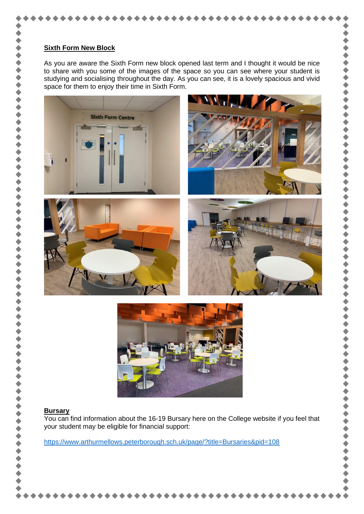#### **Sixth Form New Block**

As you are aware the Sixth Form new block opened last term and I thought it would be nice to share with you some of the images of the space so you can see where your student is studying and socialising throughout the day. As you can see, it is a lovely spacious and vivid space for them to enjoy their time in Sixth Form.

٠

中中

 $\dot{\bullet}$ 

 $\blacklozenge$  $\blacklozenge$ 

٠

 $\bullet$ 

 $\bullet$ 

 $\blacklozenge$  $\blacklozenge$ 

 $\blacklozenge$ 

 $\blacklozenge$ ۰

 $\blacklozenge$ 

 $\blacklozenge$ 

 $\blacklozenge$  $\blacklozenge$ 

 $\bullet$ 

◆◆◆◆





#### **Bursary**

You can find information about the 16-19 Bursary here on the College website if you feel that your student may be eligible for financial support:

<https://www.arthurmellows.peterborough.sch.uk/page/?title=Bursaries&pid=108>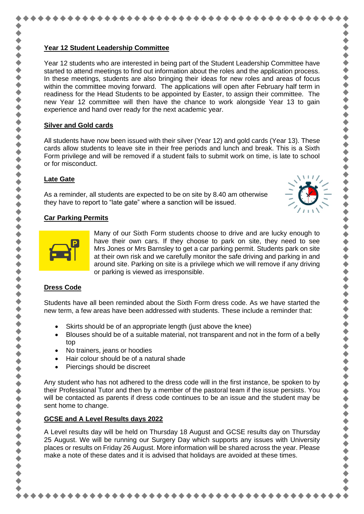#### **Year 12 Student Leadership Committee**

Year 12 students who are interested in being part of the Student Leadership Committee have started to attend meetings to find out information about the roles and the application process. In these meetings, students are also bringing their ideas for new roles and areas of focus within the committee moving forward. The applications will open after February half term in readiness for the Head Students to be appointed by Easter, to assign their committee. The new Year 12 committee will then have the chance to work alongside Year 13 to gain experience and hand over ready for the next academic year.

令令令令

 $\blacklozenge$ 

◆◆◆◆

,,,,,,,,,,,,,,,,,

,,,,,,,,,,

..........

## **Silver and Gold cards**

All students have now been issued with their silver (Year 12) and gold cards (Year 13). These cards allow students to leave site in their free periods and lunch and break. This is a Sixth Form privilege and will be removed if a student fails to submit work on time, is late to school or for misconduct.

# **Late Gate**

As a reminder, all students are expected to be on site by 8.40 am otherwise they have to report to "late gate" where a sanction will be issued.

# **Car Parking Permits**



Many of our Sixth Form students choose to drive and are lucky enough to have their own cars. If they choose to park on site, they need to see Mrs Jones or Mrs Barnsley to get a car parking permit. Students park on site at their own risk and we carefully monitor the safe driving and parking in and around site. Parking on site is a privilege which we will remove if any driving or parking is viewed as irresponsible.

# **Dress Code**

Students have all been reminded about the Sixth Form dress code. As we have started the new term, a few areas have been addressed with students. These include a reminder that:

- Skirts should be of an appropriate length (just above the knee)
- Blouses should be of a suitable material, not transparent and not in the form of a belly top
- No trainers, jeans or hoodies
- Hair colour should be of a natural shade
- Piercings should be discreet

Any student who has not adhered to the dress code will in the first instance, be spoken to by their Professional Tutor and then by a member of the pastoral team if the issue persists. You will be contacted as parents if dress code continues to be an issue and the student may be sent home to change.

## **GCSE and A Level Results days 2022**

A Level results day will be held on Thursday 18 August and GCSE results day on Thursday 25 August. We will be running our Surgery Day which supports any issues with University places or results on Friday 26 August. More information will be shared across the year. Please make a note of these dates and it is advised that holidays are avoided at these times.